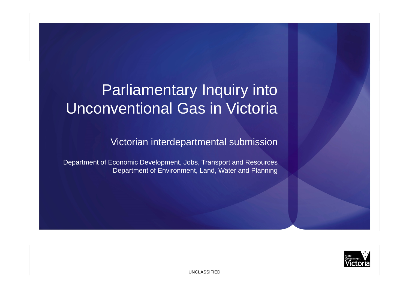# Parliamentary Inquiry into Unconventional Gas in Victoria

Victorian interdepartmental submission

Department of Economic Development, Jobs, Transport and Resources Department of Environment, Land, Water and Planning

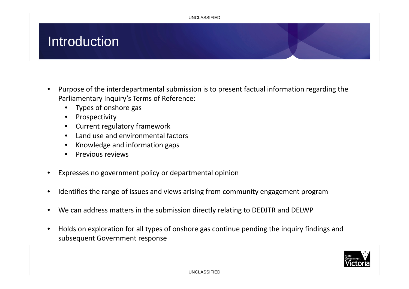#### UNCLASSIFIED

# Introduction

- • Purpose of the interdepartmental submission is to present factual information regarding the Parliamentary Inquiry's Terms of Reference:
	- Types of onshore gas
	- •Prospectivity
	- Current regulatory framework
	- •Land use and environmental factors
	- •Knowledge and information gaps
	- •• Previous reviews
- •Expresses no government policy or departmental opinion
- •• Identifies the range of issues and views arising from community engagement program
- •We can address matters in the submission directly relating to DEDJTR and DELWP
- • Holds on exploration for all types of onshore gas continue pending the inquiry findings and subsequent Government response

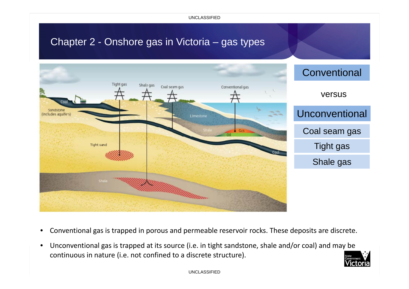UNCLASSIFIED

#### Chapter 2 - Onshore gas in Victoria – gas types



- $\bullet$ Conventional gas is trapped in porous and permeable reservoir rocks. These deposits are discrete.
- $\bullet$  Unconventional gas is trapped at its source (i.e. in tight sandstone, shale and/or coal) and may be continuous in nature (i.e. not confined to <sup>a</sup> discrete structure).

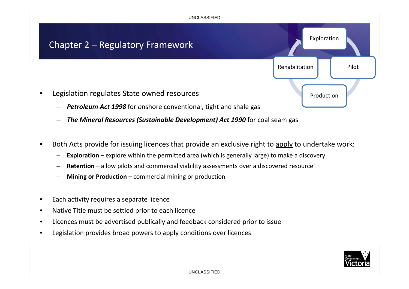

- *The Mineral Resources (Sustainable Development) Act 1990* for coal seam gas
- •**•** Both Acts provide for issuing licences that provide an exclusive right to apply to undertake work:
	- –**Exploration** – explore within the permitted area (which is generally large) to make <sup>a</sup> discovery
	- **Retention** allow pilots and commercial viability assessments over <sup>a</sup> discovered resource
	- **Mining or Production** commercial mining or production
- •**•** Each activity requires a separate licence
- •Native Title must be settled prior to each licence
- •Licences must be advertised publically and feedback considered prior to issue
- •Legislation provides broad powers to apply conditions over licences

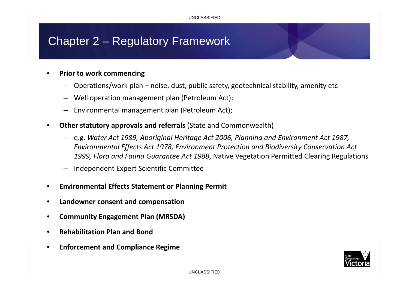# Chapter 2 – Regulatory Framework

#### •**Prior to work commencing**

- Operations/work plan noise, dust, public safety, geotechnical stability, amenity etc
- Well operation management plan (Petroleum Act);
- Environmental management plan (Petroleum Act);
- • **Other statutory approvals and referrals** (State and Commonwealth)
	- e.g. *Water Act 1989, Aboriginal Heritage Act 2006, Planning and Environment Act 1987, Environmental Effects Act 1978, Environment Protection and Biodiversity Conservation Act 1999, Flora and Fauna Guarantee Act 1988*, Native Vegetation Permitted Clearing Regulations
	- Independent Expert Scientific Committee
- •**Environmental Effects Statement or Planning Permit**
- •**Landowner consent and compensation**
- •**Community Engagement Plan (MRSDA)**
- •**Rehabilitation Plan and Bond**
- •**Enforcement and Compliance Regime**

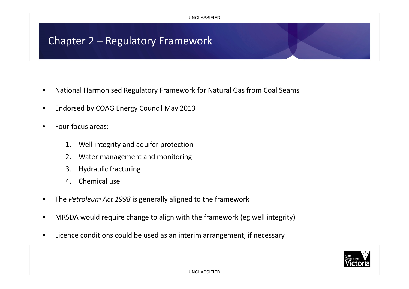### Chapter 2 – Regulatory Framework

- •National Harmonised Regulatory Framework for Natural Gas from Coal Seams
- •**•** Endorsed by COAG Energy Council May 2013
- •• Four focus areas:
	- 1. Well integrity and aquifer protection
	- 2. Water management and monitoring
	- 3. Hydraulic fracturing
	- 4. Chemical use
- •The *Petroleum Act 1998* is generally aligned to the framework
- •MRSDA would require change to align with the framework (eg well integrity)
- $\bullet$ Licence conditions could be used as an interim arrangement, if necessary

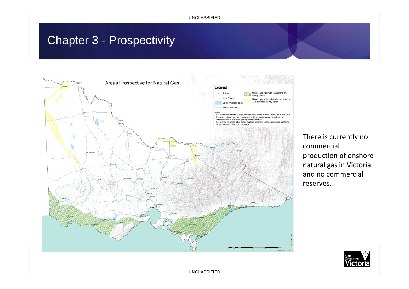# Chapter 3 - Prospectivity



There is currently no commercial production of onshore natural gas in Victoria and no commercial reserves.



UNCLASSIFIED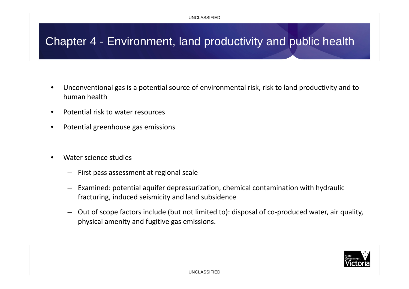# Chapter 4 - Environment, land productivity and public health

- • Unconventional gas is <sup>a</sup> potential source of environmental risk, risk to land productivity and to human health
- $\bullet$ • Potential risk to water resources
- •Potential greenhouse gas emissions
- • Water science studies
	- First pass assessment at regional scale
	- – Examined: potential aquifer depressurization, chemical contamination with hydraulic fracturing, induced seismicity and land subsidence
	- Out of scope factors include (but not limited to): disposal of co‐produced water, air quality, physical amenity and fugitive gas emissions.

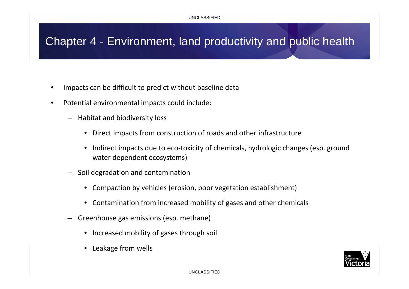### Chapter 4 - Environment, land productivity and public health

- •Impacts can be difficult to predict without baseline data
- $\bullet$  Potential environmental impacts could include:
	- Habitat and biodiversity loss
		- Direct impacts from construction of roads and other infrastructure
		- $\bullet$  Indirect impacts due to eco‐toxicity of chemicals, hydrologic changes (esp. ground water dependent ecosystems)
	- Soil degradation and contamination
		- Compaction by vehicles (erosion, poor vegetation establishment)
		- Contamination from increased mobility of gases and other chemicals
	- – Greenhouse gas emissions (esp. methane)
		- Increased mobility of gases through soil
		- $\bullet$ Leakage from wells

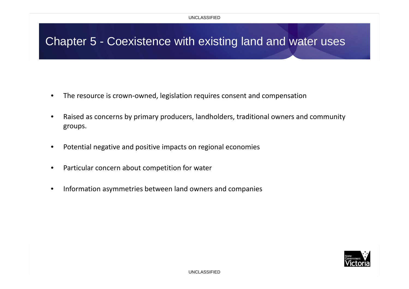### Chapter 5 - Coexistence with existing land and water uses

- $\bullet$ The resource is crown‐owned, legislation requires consent and compensation
- • Raised as concerns by primary producers, landholders, traditional owners and community groups.
- •Potential negative and positive impacts on regional economies
- $\bullet$ Particular concern about competition for water
- •**•** Information asymmetries between land owners and companies

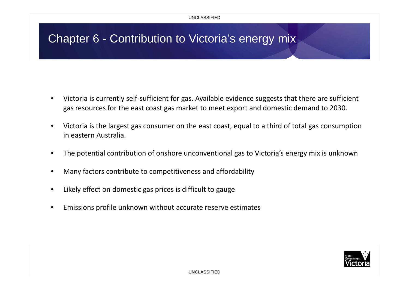# Chapter 6 - Contribution to Victoria's energy mix

- $\bullet$  Victoria is currently self‐sufficient for gas. Available evidence suggests that there are sufficient gas resources for the east coast gas market to meet export and domestic demand to 2030.
- $\bullet$  Victoria is the largest gas consumer on the east coast, equal to <sup>a</sup> third of total gas consumption in eastern Australia.
- $\bullet$ The potential contribution of onshore unconventional gas to Victoria's energy mix is unknown
- •Many factors contribute to competitiveness and affordability
- •Likely effect on domestic gas prices is difficult to gauge
- •Emissions profile unknown without accurate reserve estimates